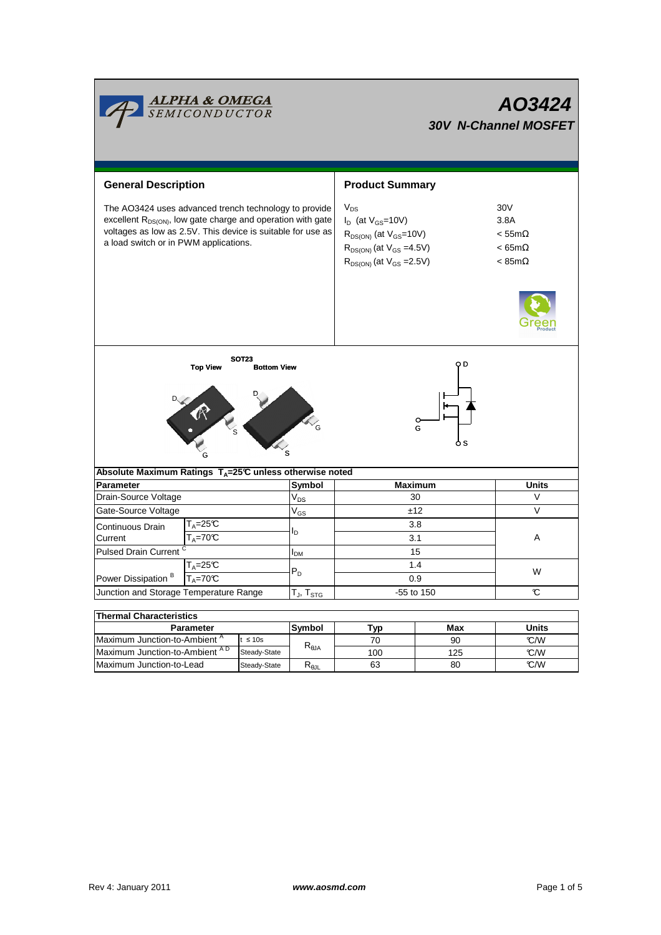|                                                                                                                                                                                                                                          | <b>ALPHA &amp; OMEGA</b><br>SEMICONDUCTOR                |                                    |                      | AO3424<br><b>30V N-Channel MOSFET</b>                                                                                                               |                 |                                                                        |  |
|------------------------------------------------------------------------------------------------------------------------------------------------------------------------------------------------------------------------------------------|----------------------------------------------------------|------------------------------------|----------------------|-----------------------------------------------------------------------------------------------------------------------------------------------------|-----------------|------------------------------------------------------------------------|--|
|                                                                                                                                                                                                                                          |                                                          |                                    |                      |                                                                                                                                                     |                 |                                                                        |  |
| <b>General Description</b>                                                                                                                                                                                                               |                                                          |                                    |                      | <b>Product Summary</b>                                                                                                                              |                 |                                                                        |  |
| The AO3424 uses advanced trench technology to provide<br>excellent R <sub>DS(ON)</sub> , low gate charge and operation with gate<br>voltages as low as 2.5V. This device is suitable for use as<br>a load switch or in PWM applications. |                                                          |                                    |                      | $V_{DS}$<br>$I_D$ (at $V_{GS}$ =10V)<br>$R_{DS(ON)}$ (at $V_{GS}$ =10V)<br>$R_{DS(ON)}$ (at $V_{GS} = 4.5V$ )<br>$R_{DS(ON)}$ (at $V_{GS} = 2.5V$ ) |                 | 30V<br>3.8A<br>$< 55m\Omega$<br>$< 65m\Omega$<br>$< 85 \text{m}\Omega$ |  |
|                                                                                                                                                                                                                                          | <b>Top View</b>                                          | <b>SOT23</b><br><b>Bottom View</b> |                      |                                                                                                                                                     | O D<br>G<br>o s |                                                                        |  |
| Absolute Maximum Ratings T <sub>A</sub> =25℃ unless otherwise noted                                                                                                                                                                      |                                                          |                                    |                      |                                                                                                                                                     |                 |                                                                        |  |
| Parameter                                                                                                                                                                                                                                |                                                          |                                    | Symbol               | <b>Maximum</b><br>30                                                                                                                                |                 | Units<br>$\vee$                                                        |  |
| Drain-Source Voltage                                                                                                                                                                                                                     |                                                          |                                    | $V_{DS}$<br>$V_{GS}$ |                                                                                                                                                     |                 | $\vee$                                                                 |  |
| Gate-Source Voltage<br>Continuous Drain<br>Current                                                                                                                                                                                       | T <sub>A</sub> =25℃<br>$T_A = 70C$                       |                                    |                      | ±12<br>3.8<br>3.1                                                                                                                                   |                 | Α                                                                      |  |
| <b>Pulsed Drain Current</b>                                                                                                                                                                                                              |                                                          |                                    | I <sub>DМ</sub>      | 15                                                                                                                                                  |                 |                                                                        |  |
|                                                                                                                                                                                                                                          | $T_A = 25C$<br>$T_A = 70^\circ C$                        |                                    |                      | 1.4<br>0.9                                                                                                                                          |                 | W                                                                      |  |
| Power Dissipation <sup>B</sup><br>Junction and Storage Temperature Range                                                                                                                                                                 |                                                          |                                    | $T_J$ , $T_{STG}$    | -55 to 150                                                                                                                                          |                 | C                                                                      |  |
|                                                                                                                                                                                                                                          |                                                          |                                    |                      |                                                                                                                                                     |                 |                                                                        |  |
| <b>Thermal Characteristics</b>                                                                                                                                                                                                           |                                                          |                                    |                      |                                                                                                                                                     |                 |                                                                        |  |
| <b>Parameter</b>                                                                                                                                                                                                                         |                                                          |                                    | Symbol               | Typ                                                                                                                                                 | Max             | <b>Units</b>                                                           |  |
|                                                                                                                                                                                                                                          | Maximum Junction-to-Ambient <sup>A</sup><br>$t \leq 10s$ |                                    |                      | 70                                                                                                                                                  | 90              | °C/W                                                                   |  |
| Maximum Junction-to-Ambient AD<br>Steady-State                                                                                                                                                                                           |                                                          | $\mathsf{R}_{\theta\mathsf{JA}}$   | 100                  | 125                                                                                                                                                 | °C/W            |                                                                        |  |

100

125 80

63

Steady-State R<sub>θJL</sub>

Maximum Junction-to-Lead Steady-State R<sub>6JL</sub> 63 80 C/W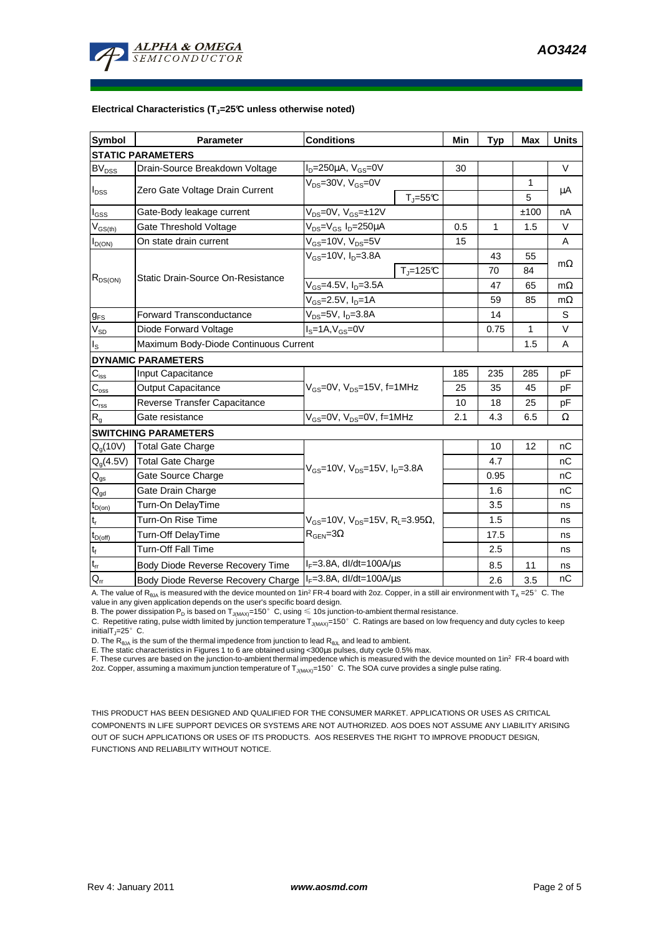

## **Electrical Characteristics (TJ=25°C unless otherwise noted)**

| <b>Symbol</b>              | <b>Parameter</b>                                                          | <b>Conditions</b>                                      | Min | <b>Typ</b> | <b>Max</b>   | <b>Units</b> |  |  |  |  |  |
|----------------------------|---------------------------------------------------------------------------|--------------------------------------------------------|-----|------------|--------------|--------------|--|--|--|--|--|
| <b>STATIC PARAMETERS</b>   |                                                                           |                                                        |     |            |              |              |  |  |  |  |  |
| <b>BV<sub>DSS</sub></b>    | Drain-Source Breakdown Voltage                                            | $I_D = 250 \mu A$ , $V_{GS} = 0V$                      | 30  |            |              | $\vee$       |  |  |  |  |  |
| $I_{\text{DSS}}$           | Zero Gate Voltage Drain Current                                           | $V_{DS}$ =30V, $V_{GS}$ =0V                            |     |            | $\mathbf{1}$ | μA           |  |  |  |  |  |
|                            |                                                                           | $T_{\parallel} = 55$ °C                                |     |            | 5            |              |  |  |  |  |  |
| $I_{GS}$                   | Gate-Body leakage current                                                 | $V_{DS} = 0V$ , $V_{GS} = \pm 12V$                     |     |            | ±100         | nA           |  |  |  |  |  |
| $V_{GS(th)}$               | Gate Threshold Voltage                                                    | V <sub>DS</sub> =V <sub>GS</sub> I <sub>D</sub> =250µA | 0.5 | 1          | 1.5          | V            |  |  |  |  |  |
| $I_{D(ON)}$                | On state drain current                                                    | $\overline{V_{GS}}$ =10V, $\overline{V_{DS}}$ =5V      | 15  |            |              | A            |  |  |  |  |  |
| $R_{DS(ON)}$               |                                                                           | $V_{GS}$ =10V, $I_{D}$ =3.8A                           |     | 43         | 55           |              |  |  |  |  |  |
|                            | Static Drain-Source On-Resistance                                         | $TJ=125C$                                              |     | 70         | 84           | $m\Omega$    |  |  |  |  |  |
|                            |                                                                           | $V_{GS} = 4.5V, I_D = 3.5A$                            |     | 47         | 65           | $m\Omega$    |  |  |  |  |  |
|                            |                                                                           | V <sub>GS</sub> =2.5V, I <sub>D</sub> =1A              |     | 59         | 85           | mΩ           |  |  |  |  |  |
| $g_{FS}$                   | $V_{DS}$ =5V, $I_D$ =3.8A<br><b>Forward Transconductance</b>              |                                                        |     | 14         |              | S            |  |  |  |  |  |
| $V_{SD}$                   | $IS=1A, VGS=0V$<br>Diode Forward Voltage                                  |                                                        |     | 0.75       | $\mathbf{1}$ | V            |  |  |  |  |  |
| $I_{\rm S}$                | Maximum Body-Diode Continuous Current                                     |                                                        |     | 1.5        | A            |              |  |  |  |  |  |
|                            | <b>DYNAMIC PARAMETERS</b>                                                 |                                                        |     |            |              |              |  |  |  |  |  |
| $C_{\text{iss}}$           | Input Capacitance                                                         |                                                        | 185 | 235        | 285          | рF           |  |  |  |  |  |
| $C_{\rm oss}$              | Output Capacitance                                                        | V <sub>GS</sub> =0V, V <sub>DS</sub> =15V, f=1MHz      | 25  | 35         | 45           | pF           |  |  |  |  |  |
| $C_{\rm rss}$              | Reverse Transfer Capacitance                                              |                                                        | 10  | 18         | 25           | pF           |  |  |  |  |  |
| R <sub>g</sub>             | Gate resistance                                                           | $V_{GS}$ =0V, $V_{DS}$ =0V, f=1MHz                     | 2.1 | 4.3        | 6.5          | Ω            |  |  |  |  |  |
|                            | <b>SWITCHING PARAMETERS</b>                                               |                                                        |     |            |              |              |  |  |  |  |  |
| Q <sub>q</sub> (10V)       | <b>Total Gate Charge</b>                                                  |                                                        |     | 10         | 12           | nC           |  |  |  |  |  |
| $Q_g(4.5V)$                | <b>Total Gate Charge</b>                                                  | $V_{GS}$ =10V, $V_{DS}$ =15V, $I_{D}$ =3.8A            |     | 4.7        |              | nC           |  |  |  |  |  |
| $\mathsf{Q}_{\mathsf{gs}}$ | Gate Source Charge                                                        |                                                        |     | 0.95       |              | nC           |  |  |  |  |  |
| $Q_{gd}$                   | Gate Drain Charge                                                         |                                                        |     | 1.6        |              | nC           |  |  |  |  |  |
| $t_{D(on)}$                | Turn-On DelayTime                                                         |                                                        |     | 3.5        |              | ns           |  |  |  |  |  |
| $t_r$                      | Turn-On Rise Time<br>$V_{GS}$ =10V, $V_{DS}$ =15V, R <sub>L</sub> =3.95Ω, |                                                        |     | 1.5        |              | ns           |  |  |  |  |  |
| $t_{D(off)}$               | Turn-Off DelayTime                                                        | $R_{\text{GEN}} = 3\Omega$                             |     | 17.5       |              | ns           |  |  |  |  |  |
| $\mathbf{t}_\text{f}$      | Turn-Off Fall Time                                                        |                                                        |     | 2.5        |              | ns           |  |  |  |  |  |
| $t_{rr}$                   | $I_F = 3.8$ A, dl/dt=100A/ $\mu$ s<br>Body Diode Reverse Recovery Time    |                                                        |     | 8.5        | 11           | ns           |  |  |  |  |  |
| $Q_{rr}$                   | Body Diode Reverse Recovery Charge   F=3.8A, dl/dt=100A/us                |                                                        |     | 2.6        | 3.5          | nC           |  |  |  |  |  |

A. The value of R<sub>θJA</sub> is measured with the device mounted on 1in<sup>2</sup> FR-4 board with 2oz. Copper, in a still air environment with T<sub>A</sub> =25°C. The<br>value in any given application depends on the user's specific board design.

B. The power dissipation  ${\sf P}_{\sf D}$  is based on  ${\sf T}_{\sf J(MAX)}$ =150 $^\circ\,$  C, using  $\leqslant$  10s junction-to-ambient thermal resistance.

C. Repetitive rating, pulse width limited by junction temperature  $T_{J(MAX)}$ =150°C. Ratings are based on low frequency and duty cycles to keep initialT $_{J}$ =25°C.

D. The  $R_{\theta JA}$  is the sum of the thermal impedence from junction to lead  $R_{\theta JL}$  and lead to ambient.

E. The static characteristics in Figures 1 to 6 are obtained using <300µs pulses, duty cycle 0.5% max.

F. These curves are based on the junction-to-ambient thermal impedence which is measured with the device mounted on 1in<sup>2</sup> FR-4 board with 2oz. Copper, assuming a maximum junction temperature of  $T_{\rm J(MAX)}$ =150 $^{\circ}$  C. The SOA curve provides a single pulse rating.

THIS PRODUCT HAS BEEN DESIGNED AND QUALIFIED FOR THE CONSUMER MARKET. APPLICATIONS OR USES AS CRITICAL COMPONENTS IN LIFE SUPPORT DEVICES OR SYSTEMS ARE NOT AUTHORIZED. AOS DOES NOT ASSUME ANY LIABILITY ARISING OUT OF SUCH APPLICATIONS OR USES OF ITS PRODUCTS. AOS RESERVES THE RIGHT TO IMPROVE PRODUCT DESIGN, FUNCTIONS AND RELIABILITY WITHOUT NOTICE.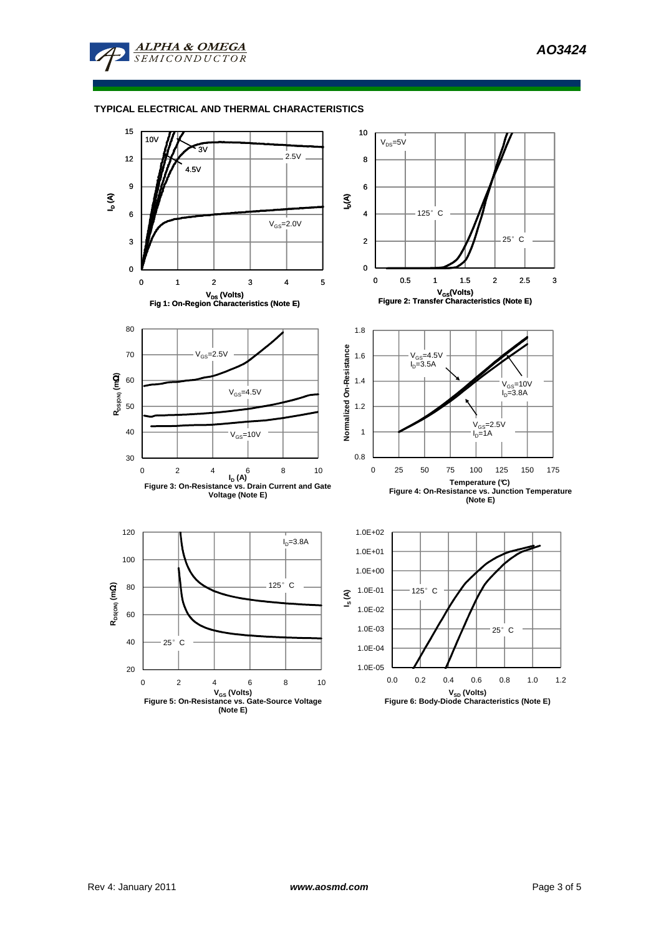

## **TYPICAL ELECTRICAL AND THERMAL CHARACTERISTICS**

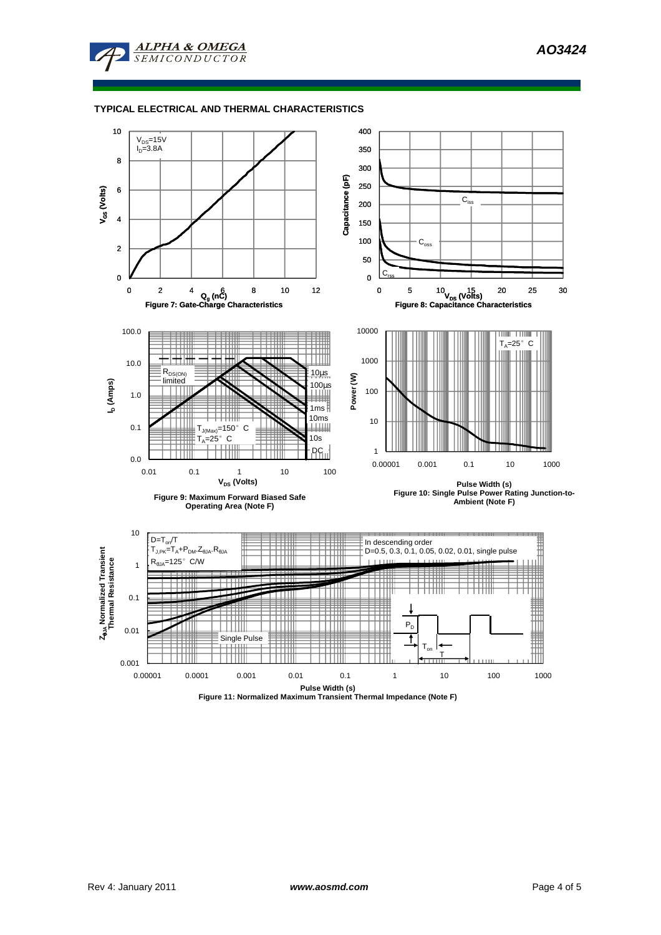**ALPHA & OMEGA SEMICONDUCTOR** 

## **TYPICAL ELECTRICAL AND THERMAL CHARACTERISTICS**



**Figure 11: Normalized Maximum Transient Thermal Impedance (Note F)**